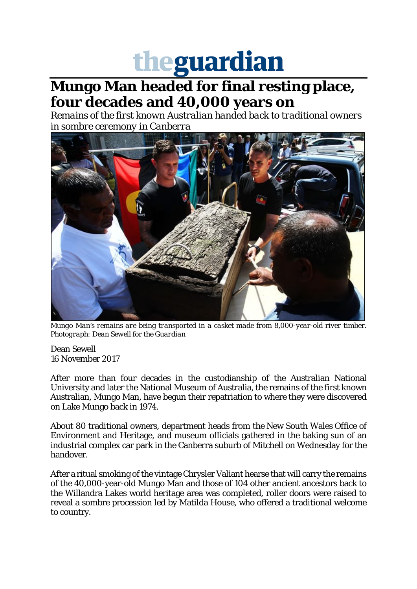## theguardian

## **Mungo Man headed for final resting place, four decades and 40,000 years on**

*Remains of the first known Australian handed back to traditional owners in sombre ceremony in Canberra*



*Mungo Man's remains are being transported in a casket made from 8,000-year-old river timber. Photograph: Dean Sewell for the Guardian*

Dean Sewell 16 November 2017

After more than four decades in the custodianship of the Australian National University and later the National Museum of Australia, the remains of the first known Australian, Mungo Man, have begun their repatriation to where they were discovered on Lake Mungo back in 1974.

About 80 traditional owners, department heads from the New South Wales Office of Environment and Heritage, and museum officials gathered in the baking sun of an industrial complex car park in the Canberra suburb of Mitchell on Wednesday for the handover.

After a ritual smoking of the vintage Chrysler Valiant hearse that will carry the remains of the 40,000-year-old Mungo Man and those of 104 other ancient ancestors back to the Willandra Lakes world heritage area was completed, roller doors were raised to reveal a sombre procession led by Matilda House, who offered a traditional welcome to country.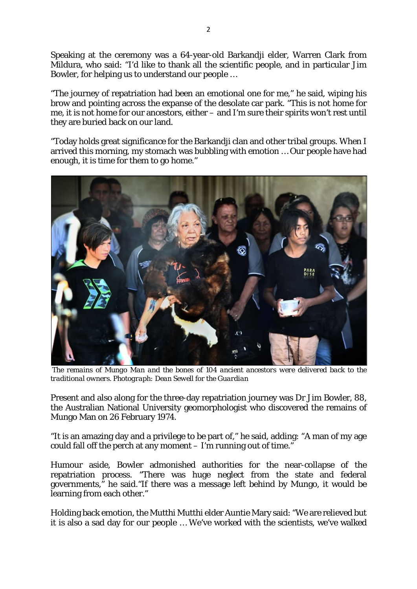Speaking at the ceremony was a 64-year-old Barkandji elder, Warren Clark from Mildura, who said: "I'd like to thank all the scientific people, and in particular Jim Bowler, for helping us to understand our people …

"The journey of repatriation had been an emotional one for me," he said, wiping his brow and pointing across the expanse of the desolate car park. "This is not home for me, it is not home for our ancestors, either – and I'm sure their spirits won't rest until they are buried back on our land.

"Today holds great significance for the Barkandji clan and other tribal groups. When I arrived this morning, my stomach was bubbling with emotion … Our people have had enough, it is time for them to go home."



*The remains of Mungo Man and the bones of 104 ancient ancestors were delivered back to the traditional owners. Photograph: Dean Sewell for the Guardian*

Present and also along for the three-day repatriation journey was Dr Jim Bowler, 88, the Australian National University geomorphologist who discovered the remains of Mungo Man on 26 February 1974.

"It is an amazing day and a privilege to be part of," he said, adding: "A man of my age could fall off the perch at any moment – I'm running out of time."

Humour aside, Bowler admonished authorities for the near-collapse of the repatriation process. "There was huge neglect from the state and federal governments," he said."If there was a message left behind by Mungo, it would be learning from each other."

Holding back emotion, the Mutthi Mutthi elder Auntie Mary said: "We are relieved but it is also a sad day for our people … We've worked with the scientists, we've walked